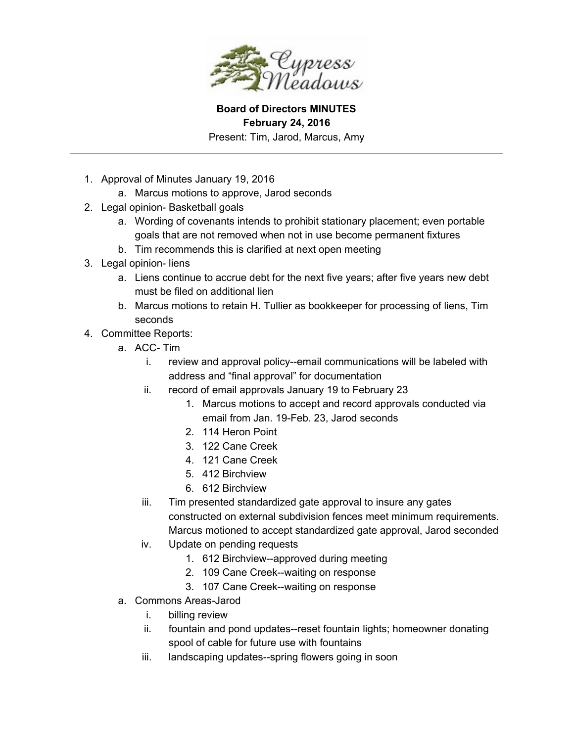

**Board of Directors MINUTES February 24, 2016**

Present: Tim, Jarod, Marcus, Amy

- 1. Approval of Minutes January 19, 2016
	- a. Marcus motions to approve, Jarod seconds
- 2. Legal opinion- Basketball goals
	- a. Wording of covenants intends to prohibit stationary placement; even portable goals that are not removed when not in use become permanent fixtures
	- b. Tim recommends this is clarified at next open meeting
- 3. Legal opinion-liens
	- a. Liens continue to accrue debt for the next five years; after five years new debt must be filed on additional lien
	- b. Marcus motions to retain H. Tullier as bookkeeper for processing of liens, Tim seconds
- 4. Committee Reports:
	- a. ACC-Tim
		- i. review and approval policy--email communications will be labeled with address and "final approval" for documentation
		- ii. record of email approvals January 19 to February 23
			- 1. Marcus motions to accept and record approvals conducted via email from Jan. 19-Feb. 23, Jarod seconds
			- 2. 114 Heron Point
			- 3. 122 Cane Creek
			- 4. 121 Cane Creek
			- 5. 412 Birchview
			- 6. 612 Birchview
		- iii. Tim presented standardized gate approval to insure any gates constructed on external subdivision fences meet minimum requirements. Marcus motioned to accept standardized gate approval, Jarod seconded
		- iv. Update on pending requests
			- 1. 612 Birchview--approved during meeting
			- 2. 109 Cane Creek--waiting on response
			- 3. 107 Cane Creek--waiting on response
	- a. Commons Areas-Jarod
		- i. billing review
		- ii. fountain and pond updates--reset fountain lights; homeowner donating spool of cable for future use with fountains
		- iii. landscaping updates--spring flowers going in soon